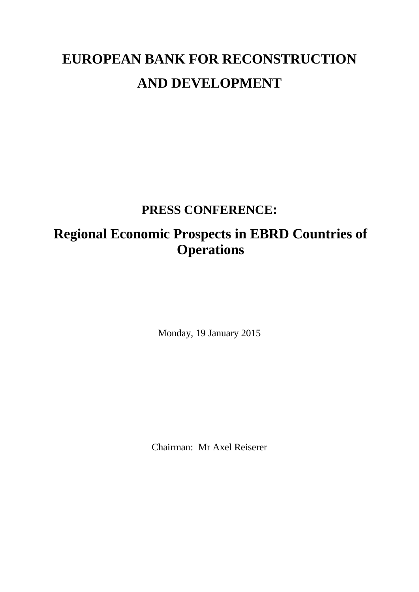## **EUROPEAN BANK FOR RECONSTRUCTION AND DEVELOPMENT**

## **PRESS CONFERENCE:**

## **Regional Economic Prospects in EBRD Countries of Operations**

Monday, 19 January 2015

Chairman: Mr Axel Reiserer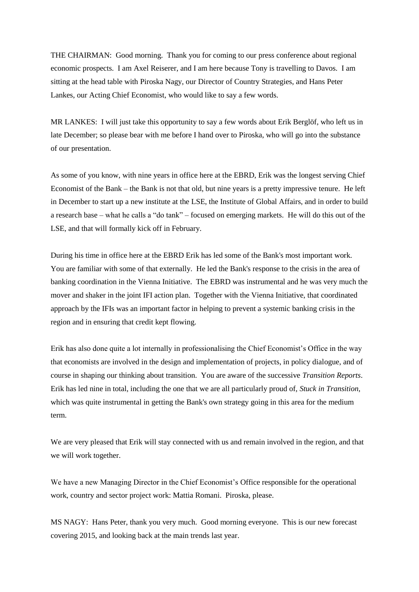THE CHAIRMAN: Good morning. Thank you for coming to our press conference about regional economic prospects. I am Axel Reiserer, and I am here because Tony is travelling to Davos. I am sitting at the head table with Piroska Nagy, our Director of Country Strategies, and Hans Peter Lankes, our Acting Chief Economist, who would like to say a few words.

MR LANKES: I will just take this opportunity to say a few words about Erik Berglöf, who left us in late December; so please bear with me before I hand over to Piroska, who will go into the substance of our presentation.

As some of you know, with nine years in office here at the EBRD, Erik was the longest serving Chief Economist of the Bank – the Bank is not that old, but nine years is a pretty impressive tenure. He left in December to start up a new institute at the LSE, the Institute of Global Affairs, and in order to build a research base – what he calls a "do tank" – focused on emerging markets. He will do this out of the LSE, and that will formally kick off in February.

During his time in office here at the EBRD Erik has led some of the Bank's most important work. You are familiar with some of that externally. He led the Bank's response to the crisis in the area of banking coordination in the Vienna Initiative. The EBRD was instrumental and he was very much the mover and shaker in the joint IFI action plan. Together with the Vienna Initiative, that coordinated approach by the IFIs was an important factor in helping to prevent a systemic banking crisis in the region and in ensuring that credit kept flowing.

Erik has also done quite a lot internally in professionalising the Chief Economist's Office in the way that economists are involved in the design and implementation of projects, in policy dialogue, and of course in shaping our thinking about transition. You are aware of the successive *Transition Reports*. Erik has led nine in total, including the one that we are all particularly proud of, *Stuck in Transition*, which was quite instrumental in getting the Bank's own strategy going in this area for the medium term.

We are very pleased that Erik will stay connected with us and remain involved in the region, and that we will work together.

We have a new Managing Director in the Chief Economist's Office responsible for the operational work, country and sector project work: Mattia Romani. Piroska, please.

MS NAGY: Hans Peter, thank you very much. Good morning everyone. This is our new forecast covering 2015, and looking back at the main trends last year.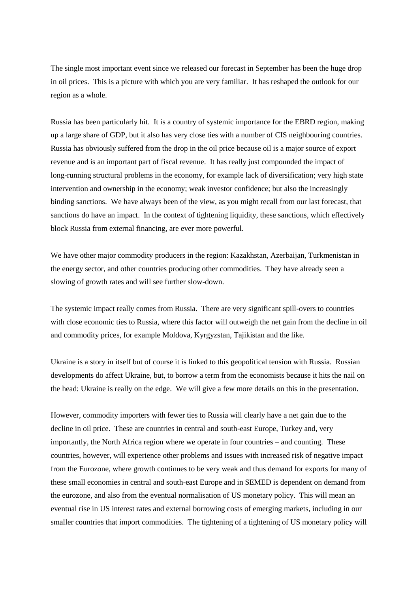The single most important event since we released our forecast in September has been the huge drop in oil prices. This is a picture with which you are very familiar. It has reshaped the outlook for our region as a whole.

Russia has been particularly hit. It is a country of systemic importance for the EBRD region, making up a large share of GDP, but it also has very close ties with a number of CIS neighbouring countries. Russia has obviously suffered from the drop in the oil price because oil is a major source of export revenue and is an important part of fiscal revenue. It has really just compounded the impact of long-running structural problems in the economy, for example lack of diversification; very high state intervention and ownership in the economy; weak investor confidence; but also the increasingly binding sanctions. We have always been of the view, as you might recall from our last forecast, that sanctions do have an impact. In the context of tightening liquidity, these sanctions, which effectively block Russia from external financing, are ever more powerful.

We have other major commodity producers in the region: Kazakhstan, Azerbaijan, Turkmenistan in the energy sector, and other countries producing other commodities. They have already seen a slowing of growth rates and will see further slow-down.

The systemic impact really comes from Russia. There are very significant spill-overs to countries with close economic ties to Russia, where this factor will outweigh the net gain from the decline in oil and commodity prices, for example Moldova, Kyrgyzstan, Tajikistan and the like.

Ukraine is a story in itself but of course it is linked to this geopolitical tension with Russia. Russian developments do affect Ukraine, but, to borrow a term from the economists because it hits the nail on the head: Ukraine is really on the edge. We will give a few more details on this in the presentation.

However, commodity importers with fewer ties to Russia will clearly have a net gain due to the decline in oil price. These are countries in central and south-east Europe, Turkey and, very importantly, the North Africa region where we operate in four countries – and counting. These countries, however, will experience other problems and issues with increased risk of negative impact from the Eurozone, where growth continues to be very weak and thus demand for exports for many of these small economies in central and south-east Europe and in SEMED is dependent on demand from the eurozone, and also from the eventual normalisation of US monetary policy. This will mean an eventual rise in US interest rates and external borrowing costs of emerging markets, including in our smaller countries that import commodities. The tightening of a tightening of US monetary policy will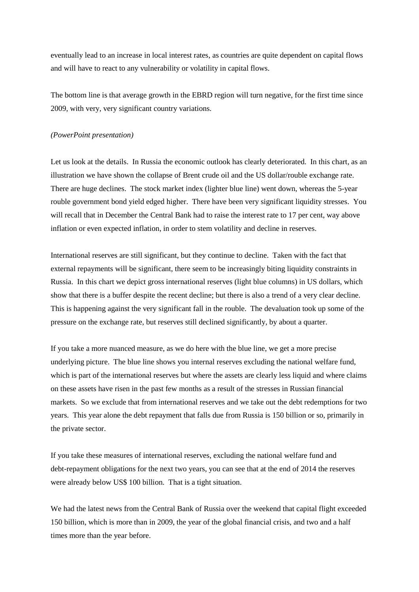eventually lead to an increase in local interest rates, as countries are quite dependent on capital flows and will have to react to any vulnerability or volatility in capital flows.

The bottom line is that average growth in the EBRD region will turn negative, for the first time since 2009, with very, very significant country variations.

## *(PowerPoint presentation)*

Let us look at the details. In Russia the economic outlook has clearly deteriorated. In this chart, as an illustration we have shown the collapse of Brent crude oil and the US dollar/rouble exchange rate. There are huge declines. The stock market index (lighter blue line) went down, whereas the 5-year rouble government bond yield edged higher. There have been very significant liquidity stresses. You will recall that in December the Central Bank had to raise the interest rate to 17 per cent, way above inflation or even expected inflation, in order to stem volatility and decline in reserves.

International reserves are still significant, but they continue to decline. Taken with the fact that external repayments will be significant, there seem to be increasingly biting liquidity constraints in Russia. In this chart we depict gross international reserves (light blue columns) in US dollars, which show that there is a buffer despite the recent decline; but there is also a trend of a very clear decline. This is happening against the very significant fall in the rouble. The devaluation took up some of the pressure on the exchange rate, but reserves still declined significantly, by about a quarter.

If you take a more nuanced measure, as we do here with the blue line, we get a more precise underlying picture. The blue line shows you internal reserves excluding the national welfare fund, which is part of the international reserves but where the assets are clearly less liquid and where claims on these assets have risen in the past few months as a result of the stresses in Russian financial markets. So we exclude that from international reserves and we take out the debt redemptions for two years. This year alone the debt repayment that falls due from Russia is 150 billion or so, primarily in the private sector.

If you take these measures of international reserves, excluding the national welfare fund and debt-repayment obligations for the next two years, you can see that at the end of 2014 the reserves were already below US\$ 100 billion. That is a tight situation.

We had the latest news from the Central Bank of Russia over the weekend that capital flight exceeded 150 billion, which is more than in 2009, the year of the global financial crisis, and two and a half times more than the year before.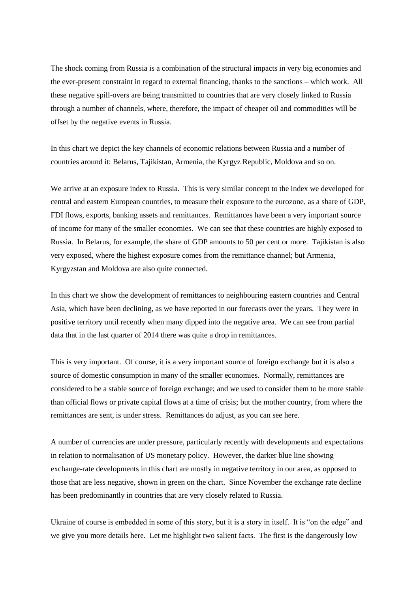The shock coming from Russia is a combination of the structural impacts in very big economies and the ever-present constraint in regard to external financing, thanks to the sanctions – which work. All these negative spill-overs are being transmitted to countries that are very closely linked to Russia through a number of channels, where, therefore, the impact of cheaper oil and commodities will be offset by the negative events in Russia.

In this chart we depict the key channels of economic relations between Russia and a number of countries around it: Belarus, Tajikistan, Armenia, the Kyrgyz Republic, Moldova and so on.

We arrive at an exposure index to Russia. This is very similar concept to the index we developed for central and eastern European countries, to measure their exposure to the eurozone, as a share of GDP, FDI flows, exports, banking assets and remittances. Remittances have been a very important source of income for many of the smaller economies. We can see that these countries are highly exposed to Russia. In Belarus, for example, the share of GDP amounts to 50 per cent or more. Tajikistan is also very exposed, where the highest exposure comes from the remittance channel; but Armenia, Kyrgyzstan and Moldova are also quite connected.

In this chart we show the development of remittances to neighbouring eastern countries and Central Asia, which have been declining, as we have reported in our forecasts over the years. They were in positive territory until recently when many dipped into the negative area. We can see from partial data that in the last quarter of 2014 there was quite a drop in remittances.

This is very important. Of course, it is a very important source of foreign exchange but it is also a source of domestic consumption in many of the smaller economies. Normally, remittances are considered to be a stable source of foreign exchange; and we used to consider them to be more stable than official flows or private capital flows at a time of crisis; but the mother country, from where the remittances are sent, is under stress. Remittances do adjust, as you can see here.

A number of currencies are under pressure, particularly recently with developments and expectations in relation to normalisation of US monetary policy. However, the darker blue line showing exchange-rate developments in this chart are mostly in negative territory in our area, as opposed to those that are less negative, shown in green on the chart. Since November the exchange rate decline has been predominantly in countries that are very closely related to Russia.

Ukraine of course is embedded in some of this story, but it is a story in itself. It is "on the edge" and we give you more details here. Let me highlight two salient facts. The first is the dangerously low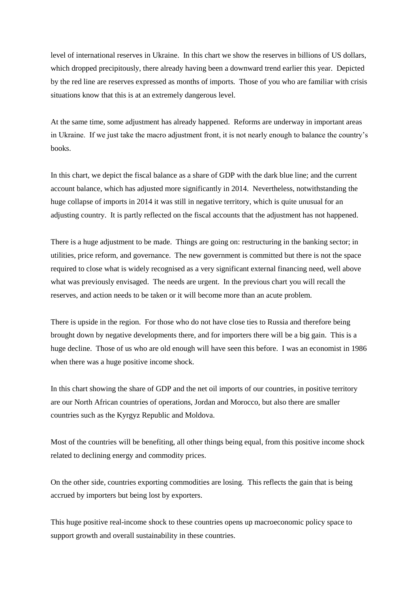level of international reserves in Ukraine. In this chart we show the reserves in billions of US dollars, which dropped precipitously, there already having been a downward trend earlier this year. Depicted by the red line are reserves expressed as months of imports. Those of you who are familiar with crisis situations know that this is at an extremely dangerous level.

At the same time, some adjustment has already happened. Reforms are underway in important areas in Ukraine. If we just take the macro adjustment front, it is not nearly enough to balance the country's books.

In this chart, we depict the fiscal balance as a share of GDP with the dark blue line; and the current account balance, which has adjusted more significantly in 2014. Nevertheless, notwithstanding the huge collapse of imports in 2014 it was still in negative territory, which is quite unusual for an adjusting country. It is partly reflected on the fiscal accounts that the adjustment has not happened.

There is a huge adjustment to be made. Things are going on: restructuring in the banking sector; in utilities, price reform, and governance. The new government is committed but there is not the space required to close what is widely recognised as a very significant external financing need, well above what was previously envisaged. The needs are urgent. In the previous chart you will recall the reserves, and action needs to be taken or it will become more than an acute problem.

There is upside in the region. For those who do not have close ties to Russia and therefore being brought down by negative developments there, and for importers there will be a big gain. This is a huge decline. Those of us who are old enough will have seen this before. I was an economist in 1986 when there was a huge positive income shock.

In this chart showing the share of GDP and the net oil imports of our countries, in positive territory are our North African countries of operations, Jordan and Morocco, but also there are smaller countries such as the Kyrgyz Republic and Moldova.

Most of the countries will be benefiting, all other things being equal, from this positive income shock related to declining energy and commodity prices.

On the other side, countries exporting commodities are losing. This reflects the gain that is being accrued by importers but being lost by exporters.

This huge positive real-income shock to these countries opens up macroeconomic policy space to support growth and overall sustainability in these countries.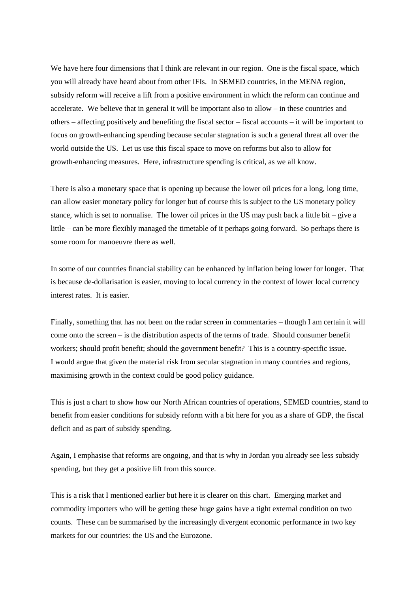We have here four dimensions that I think are relevant in our region. One is the fiscal space, which you will already have heard about from other IFIs. In SEMED countries, in the MENA region, subsidy reform will receive a lift from a positive environment in which the reform can continue and accelerate. We believe that in general it will be important also to allow – in these countries and others – affecting positively and benefiting the fiscal sector – fiscal accounts – it will be important to focus on growth-enhancing spending because secular stagnation is such a general threat all over the world outside the US. Let us use this fiscal space to move on reforms but also to allow for growth-enhancing measures. Here, infrastructure spending is critical, as we all know.

There is also a monetary space that is opening up because the lower oil prices for a long, long time, can allow easier monetary policy for longer but of course this is subject to the US monetary policy stance, which is set to normalise. The lower oil prices in the US may push back a little bit – give a little – can be more flexibly managed the timetable of it perhaps going forward. So perhaps there is some room for manoeuvre there as well.

In some of our countries financial stability can be enhanced by inflation being lower for longer. That is because de-dollarisation is easier, moving to local currency in the context of lower local currency interest rates. It is easier.

Finally, something that has not been on the radar screen in commentaries – though I am certain it will come onto the screen – is the distribution aspects of the terms of trade. Should consumer benefit workers; should profit benefit; should the government benefit? This is a country-specific issue. I would argue that given the material risk from secular stagnation in many countries and regions, maximising growth in the context could be good policy guidance.

This is just a chart to show how our North African countries of operations, SEMED countries, stand to benefit from easier conditions for subsidy reform with a bit here for you as a share of GDP, the fiscal deficit and as part of subsidy spending.

Again, I emphasise that reforms are ongoing, and that is why in Jordan you already see less subsidy spending, but they get a positive lift from this source.

This is a risk that I mentioned earlier but here it is clearer on this chart. Emerging market and commodity importers who will be getting these huge gains have a tight external condition on two counts. These can be summarised by the increasingly divergent economic performance in two key markets for our countries: the US and the Eurozone.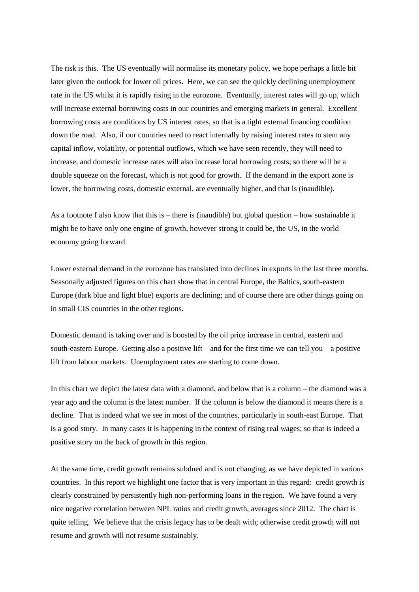The risk is this. The US eventually will normalise its monetary policy, we hope perhaps a little bit later given the outlook for lower oil prices. Here, we can see the quickly declining unemployment rate in the US whilst it is rapidly rising in the eurozone. Eventually, interest rates will go up, which will increase external borrowing costs in our countries and emerging markets in general. Excellent borrowing costs are conditions by US interest rates, so that is a tight external financing condition down the road. Also, if our countries need to react internally by raising interest rates to stem any capital inflow, volatility, or potential outflows, which we have seen recently, they will need to increase, and domestic increase rates will also increase local borrowing costs; so there will be a double squeeze on the forecast, which is not good for growth. If the demand in the export zone is lower, the borrowing costs, domestic external, are eventually higher, and that is (inaudible).

As a footnote I also know that this is – there is (inaudible) but global question – how sustainable it might be to have only one engine of growth, however strong it could be, the US, in the world economy going forward.

Lower external demand in the eurozone has translated into declines in exports in the last three months. Seasonally adjusted figures on this chart show that in central Europe, the Baltics, south-eastern Europe (dark blue and light blue) exports are declining; and of course there are other things going on in small CIS countries in the other regions.

Domestic demand is taking over and is boosted by the oil price increase in central, eastern and south-eastern Europe. Getting also a positive lift – and for the first time we can tell you – a positive lift from labour markets. Unemployment rates are starting to come down.

In this chart we depict the latest data with a diamond, and below that is a column – the diamond was a year ago and the column is the latest number. If the column is below the diamond it means there is a decline. That is indeed what we see in most of the countries, particularly in south-east Europe. That is a good story. In many cases it is happening in the context of rising real wages; so that is indeed a positive story on the back of growth in this region.

At the same time, credit growth remains subdued and is not changing, as we have depicted in various countries. In this report we highlight one factor that is very important in this regard: credit growth is clearly constrained by persistently high non-performing loans in the region. We have found a very nice negative correlation between NPL ratios and credit growth, averages since 2012. The chart is quite telling. We believe that the crisis legacy has to be dealt with; otherwise credit growth will not resume and growth will not resume sustainably.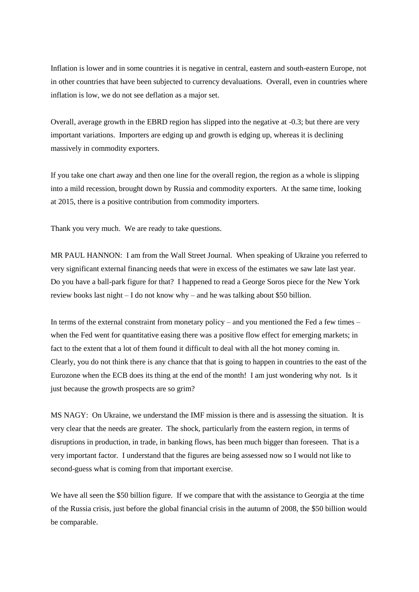Inflation is lower and in some countries it is negative in central, eastern and south-eastern Europe, not in other countries that have been subjected to currency devaluations. Overall, even in countries where inflation is low, we do not see deflation as a major set.

Overall, average growth in the EBRD region has slipped into the negative at -0.3; but there are very important variations. Importers are edging up and growth is edging up, whereas it is declining massively in commodity exporters.

If you take one chart away and then one line for the overall region, the region as a whole is slipping into a mild recession, brought down by Russia and commodity exporters. At the same time, looking at 2015, there is a positive contribution from commodity importers.

Thank you very much. We are ready to take questions.

MR PAUL HANNON: I am from the Wall Street Journal. When speaking of Ukraine you referred to very significant external financing needs that were in excess of the estimates we saw late last year. Do you have a ball-park figure for that? I happened to read a George Soros piece for the New York review books last night – I do not know why – and he was talking about \$50 billion.

In terms of the external constraint from monetary policy – and you mentioned the Fed a few times – when the Fed went for quantitative easing there was a positive flow effect for emerging markets; in fact to the extent that a lot of them found it difficult to deal with all the hot money coming in. Clearly, you do not think there is any chance that that is going to happen in countries to the east of the Eurozone when the ECB does its thing at the end of the month! I am just wondering why not. Is it just because the growth prospects are so grim?

MS NAGY: On Ukraine, we understand the IMF mission is there and is assessing the situation. It is very clear that the needs are greater. The shock, particularly from the eastern region, in terms of disruptions in production, in trade, in banking flows, has been much bigger than foreseen. That is a very important factor. I understand that the figures are being assessed now so I would not like to second-guess what is coming from that important exercise.

We have all seen the \$50 billion figure. If we compare that with the assistance to Georgia at the time of the Russia crisis, just before the global financial crisis in the autumn of 2008, the \$50 billion would be comparable.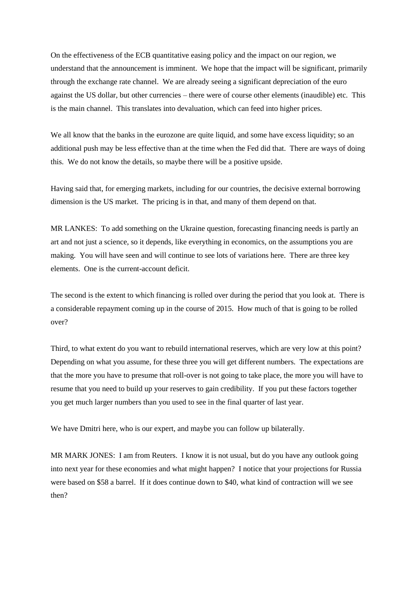On the effectiveness of the ECB quantitative easing policy and the impact on our region, we understand that the announcement is imminent. We hope that the impact will be significant, primarily through the exchange rate channel. We are already seeing a significant depreciation of the euro against the US dollar, but other currencies – there were of course other elements (inaudible) etc. This is the main channel. This translates into devaluation, which can feed into higher prices.

We all know that the banks in the eurozone are quite liquid, and some have excess liquidity; so an additional push may be less effective than at the time when the Fed did that. There are ways of doing this. We do not know the details, so maybe there will be a positive upside.

Having said that, for emerging markets, including for our countries, the decisive external borrowing dimension is the US market. The pricing is in that, and many of them depend on that.

MR LANKES: To add something on the Ukraine question, forecasting financing needs is partly an art and not just a science, so it depends, like everything in economics, on the assumptions you are making. You will have seen and will continue to see lots of variations here. There are three key elements. One is the current-account deficit.

The second is the extent to which financing is rolled over during the period that you look at. There is a considerable repayment coming up in the course of 2015. How much of that is going to be rolled over?

Third, to what extent do you want to rebuild international reserves, which are very low at this point? Depending on what you assume, for these three you will get different numbers. The expectations are that the more you have to presume that roll-over is not going to take place, the more you will have to resume that you need to build up your reserves to gain credibility. If you put these factors together you get much larger numbers than you used to see in the final quarter of last year.

We have Dmitri here, who is our expert, and maybe you can follow up bilaterally.

MR MARK JONES: I am from Reuters. I know it is not usual, but do you have any outlook going into next year for these economies and what might happen? I notice that your projections for Russia were based on \$58 a barrel. If it does continue down to \$40, what kind of contraction will we see then?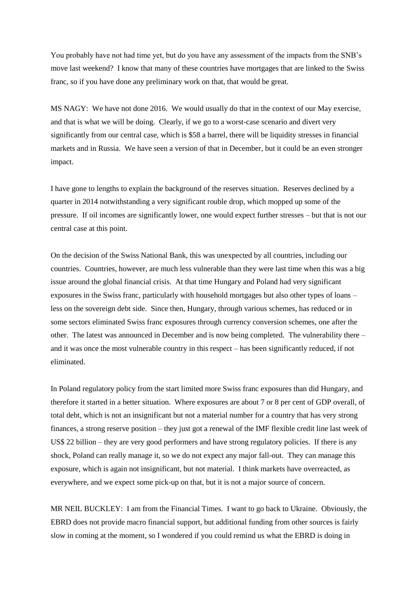You probably have not had time yet, but do you have any assessment of the impacts from the SNB's move last weekend? I know that many of these countries have mortgages that are linked to the Swiss franc, so if you have done any preliminary work on that, that would be great.

MS NAGY: We have not done 2016. We would usually do that in the context of our May exercise, and that is what we will be doing. Clearly, if we go to a worst-case scenario and divert very significantly from our central case, which is \$58 a barrel, there will be liquidity stresses in financial markets and in Russia. We have seen a version of that in December, but it could be an even stronger impact.

I have gone to lengths to explain the background of the reserves situation. Reserves declined by a quarter in 2014 notwithstanding a very significant rouble drop, which mopped up some of the pressure. If oil incomes are significantly lower, one would expect further stresses – but that is not our central case at this point.

On the decision of the Swiss National Bank, this was unexpected by all countries, including our countries. Countries, however, are much less vulnerable than they were last time when this was a big issue around the global financial crisis. At that time Hungary and Poland had very significant exposures in the Swiss franc, particularly with household mortgages but also other types of loans – less on the sovereign debt side. Since then, Hungary, through various schemes, has reduced or in some sectors eliminated Swiss franc exposures through currency conversion schemes, one after the other. The latest was announced in December and is now being completed. The vulnerability there – and it was once the most vulnerable country in this respect – has been significantly reduced, if not eliminated.

In Poland regulatory policy from the start limited more Swiss franc exposures than did Hungary, and therefore it started in a better situation. Where exposures are about 7 or 8 per cent of GDP overall, of total debt, which is not an insignificant but not a material number for a country that has very strong finances, a strong reserve position – they just got a renewal of the IMF flexible credit line last week of US\$ 22 billion – they are very good performers and have strong regulatory policies. If there is any shock, Poland can really manage it, so we do not expect any major fall-out. They can manage this exposure, which is again not insignificant, but not material. I think markets have overreacted, as everywhere, and we expect some pick-up on that, but it is not a major source of concern.

MR NEIL BUCKLEY: I am from the Financial Times. I want to go back to Ukraine. Obviously, the EBRD does not provide macro financial support, but additional funding from other sources is fairly slow in coming at the moment, so I wondered if you could remind us what the EBRD is doing in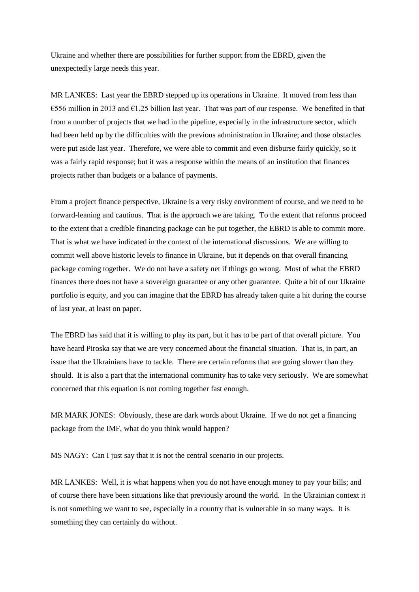Ukraine and whether there are possibilities for further support from the EBRD, given the unexpectedly large needs this year.

MR LANKES: Last year the EBRD stepped up its operations in Ukraine. It moved from less than  $\epsilon$ 556 million in 2013 and  $\epsilon$ 1.25 billion last year. That was part of our response. We benefited in that from a number of projects that we had in the pipeline, especially in the infrastructure sector, which had been held up by the difficulties with the previous administration in Ukraine; and those obstacles were put aside last year. Therefore, we were able to commit and even disburse fairly quickly, so it was a fairly rapid response; but it was a response within the means of an institution that finances projects rather than budgets or a balance of payments.

From a project finance perspective, Ukraine is a very risky environment of course, and we need to be forward-leaning and cautious. That is the approach we are taking. To the extent that reforms proceed to the extent that a credible financing package can be put together, the EBRD is able to commit more. That is what we have indicated in the context of the international discussions. We are willing to commit well above historic levels to finance in Ukraine, but it depends on that overall financing package coming together. We do not have a safety net if things go wrong. Most of what the EBRD finances there does not have a sovereign guarantee or any other guarantee. Quite a bit of our Ukraine portfolio is equity, and you can imagine that the EBRD has already taken quite a hit during the course of last year, at least on paper.

The EBRD has said that it is willing to play its part, but it has to be part of that overall picture. You have heard Piroska say that we are very concerned about the financial situation. That is, in part, an issue that the Ukrainians have to tackle. There are certain reforms that are going slower than they should. It is also a part that the international community has to take very seriously. We are somewhat concerned that this equation is not coming together fast enough.

MR MARK JONES: Obviously, these are dark words about Ukraine. If we do not get a financing package from the IMF, what do you think would happen?

MS NAGY: Can I just say that it is not the central scenario in our projects.

MR LANKES: Well, it is what happens when you do not have enough money to pay your bills; and of course there have been situations like that previously around the world. In the Ukrainian context it is not something we want to see, especially in a country that is vulnerable in so many ways. It is something they can certainly do without.